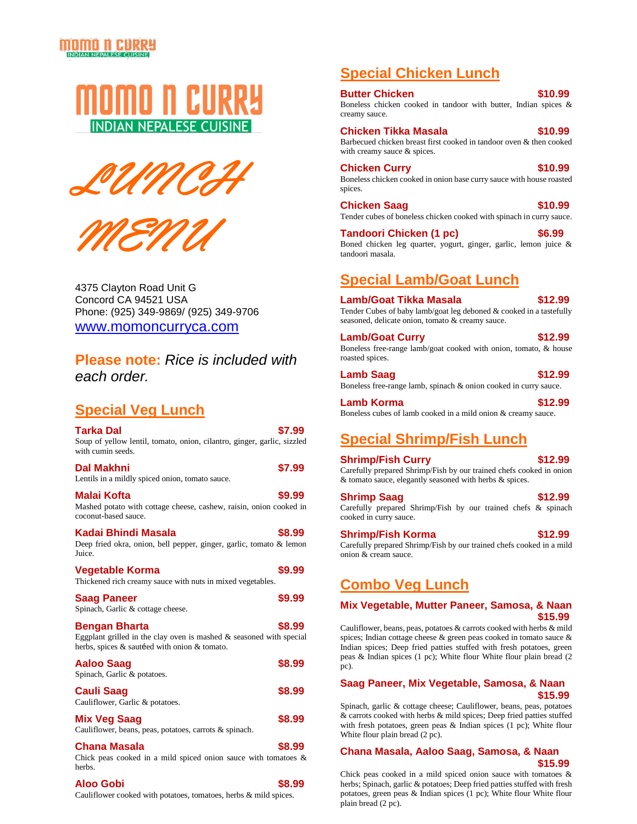# MOMO N CURRY







4375 Clayton Road Unit G Concord CA 94521 USA Phone: (925) 349-9869/ (925) 349-9706 [www.momoncurryca.com](http://www.momoncurryca.com/)

**Please note:** *Rice is included with each order.*

# **Special Veg Lunch**

| Tarka Dal<br>Soup of yellow lentil, tomato, onion, cilantro, ginger, garlic, sizzled<br>with cumin seeds.                               | \$7.99 |
|-----------------------------------------------------------------------------------------------------------------------------------------|--------|
| Dal Makhni<br>Lentils in a mildly spiced onion, tomato sauce.                                                                           | \$7.99 |
| Malai Kofta<br>Mashed potato with cottage cheese, cashew, raisin, onion cooked in<br>coconut-based sauce.                               | \$9.99 |
| Kadai Bhindi Masala<br>Deep fried okra, onion, bell pepper, ginger, garlic, tomato & lemon<br>Juice.                                    | \$8.99 |
| Vegetable Korma<br>Thickened rich creamy sauce with nuts in mixed vegetables.                                                           | \$9.99 |
| Saag Paneer<br>Spinach, Garlic & cottage cheese.                                                                                        | \$9.99 |
| Bengan Bharta<br>Eggplant grilled in the clay oven is mashed $\&$ seasoned with special<br>herbs, spices & sautéed with onion & tomato. | \$8.99 |
| Aaloo Saaq<br>Spinach, Garlic & potatoes.                                                                                               | \$8.99 |
| Cauli Saag<br>Cauliflower, Garlic & potatoes.                                                                                           | \$8.99 |
| <b>Mix Veg Saag</b><br>Cauliflower, beans, peas, potatoes, carrots & spinach.                                                           | \$8.99 |
| Chana Masala<br>Chick peas cooked in a mild spiced onion sauce with tomatoes $\&$<br>herbs.                                             | \$8.99 |

## **Aloo Gobi \$8.99**

Cauliflower cooked with potatoes, tomatoes, herbs & mild spices.

# **Special Chicken Lunch**

#### **Butter Chicken 510.99**

Boneless chicken cooked in tandoor with butter, Indian spices & creamy sauce.

## **Chicken Tikka Masala \$10.99**

Barbecued chicken breast first cooked in tandoor oven & then cooked with creamy sauce & spices.

## **Chicken Curry \$10.99**

Boneless chicken cooked in onion base curry sauce with house roasted spices.

**Chicken Saag 610.99** Tender cubes of boneless chicken cooked with spinach in curry sauce.

**Tandoori Chicken (1 pc) \$6.99**

Boned chicken leg quarter, yogurt, ginger, garlic, lemon juice & tandoori masala.

# **Special Lamb/Goat Lunch**

**Lamb/Goat Tikka Masala \$12.99** Tender Cubes of baby lamb/goat leg deboned & cooked in a tastefully seasoned, delicate onion, tomato & creamy sauce.

Lamb/Goat Curry **\$12.99** Boneless free-range lamb/goat cooked with onion, tomato, & house roasted spices.

**Lamb Saag 612.99** Boneless free-range lamb, spinach & onion cooked in curry sauce.

| Lamb Korma                                                    | \$12.99 |
|---------------------------------------------------------------|---------|
| Boneless cubes of lamb cooked in a mild onion & creamy sauce. |         |

# **Special Shrimp/Fish Lunch**

**Shrimp/Fish Curry \$12.99** Carefully prepared Shrimp/Fish by our trained chefs cooked in onion & tomato sauce, elegantly seasoned with herbs & spices.

**Shrimp Saag 612.99** Carefully prepared Shrimp/Fish by our trained chefs & spinach cooked in curry sauce.

**Shrimp/Fish Korma \$12.99** Carefully prepared Shrimp/Fish by our trained chefs cooked in a mild onion & cream sauce.

# **Combo Veg Lunch**

## **Mix Vegetable, Mutter Paneer, Samosa, & Naan \$15.99**

Cauliflower, beans, peas, potatoes & carrots cooked with herbs & mild spices; Indian cottage cheese & green peas cooked in tomato sauce & Indian spices; Deep fried patties stuffed with fresh potatoes, green peas & Indian spices (1 pc); White flour White flour plain bread (2 pc).

## **Saag Paneer, Mix Vegetable, Samosa, & Naan \$15.99**

Spinach, garlic & cottage cheese; Cauliflower, beans, peas, potatoes & carrots cooked with herbs & mild spices; Deep fried patties stuffed with fresh potatoes, green peas & Indian spices (1 pc); White flour White flour plain bread (2 pc).

## **Chana Masala, Aaloo Saag, Samosa, & Naan \$15.99**

Chick peas cooked in a mild spiced onion sauce with tomatoes & herbs; Spinach, garlic & potatoes; Deep fried patties stuffed with fresh potatoes, green peas & Indian spices (1 pc); White flour White flour plain bread (2 pc).